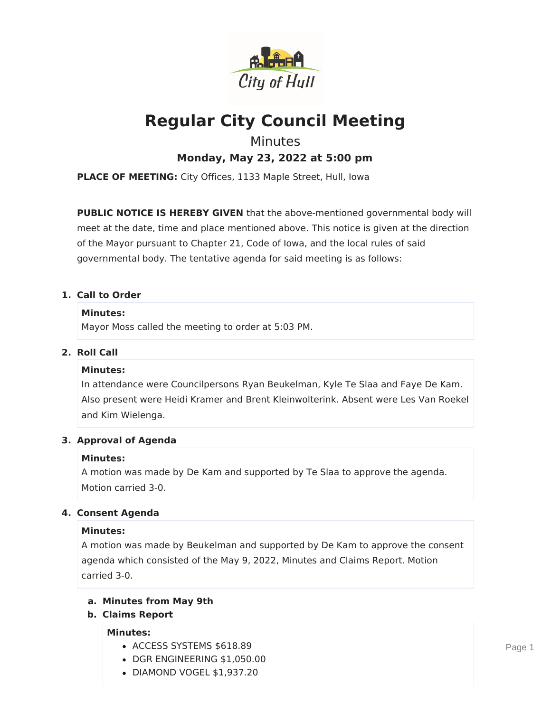

# **Regular City Council Meeting**

## Minutes

**Monday, May 23, 2022 at 5:00 pm**

**PLACE OF MEETING:** City Offices, 1133 Maple Street, Hull, Iowa

**PUBLIC NOTICE IS HEREBY GIVEN** that the above-mentioned governmental body will meet at the date, time and place mentioned above. This notice is given at the direction of the Mayor pursuant to Chapter 21, Code of Iowa, and the local rules of said governmental body. The tentative agenda for said meeting is as follows:

## **1. Call to Order**

### **Minutes:**

Mayor Moss called the meeting to order at 5:03 PM.

## **2. Roll Call**

## **Minutes:**

In attendance were Councilpersons Ryan Beukelman, Kyle Te Slaa and Faye De Kam. Also present were Heidi Kramer and Brent Kleinwolterink. Absent were Les Van Roekel and Kim Wielenga.

## **3. Approval of Agenda**

## **Minutes:**

A motion was made by De Kam and supported by Te Slaa to approve the agenda. Motion carried 3-0.

## **4. Consent Agenda**

## **Minutes:**

A motion was made by Beukelman and supported by De Kam to approve the consent agenda which consisted of the May 9, 2022, Minutes and Claims Report. Motion carried 3-0.

## **a. Minutes from May 9th**

**b. Claims Report**

## **Minutes:**

- ACCESS SYSTEMS \$618.89
- DGR ENGINEERING \$1,050.00
- DIAMOND VOGEL \$1,937.20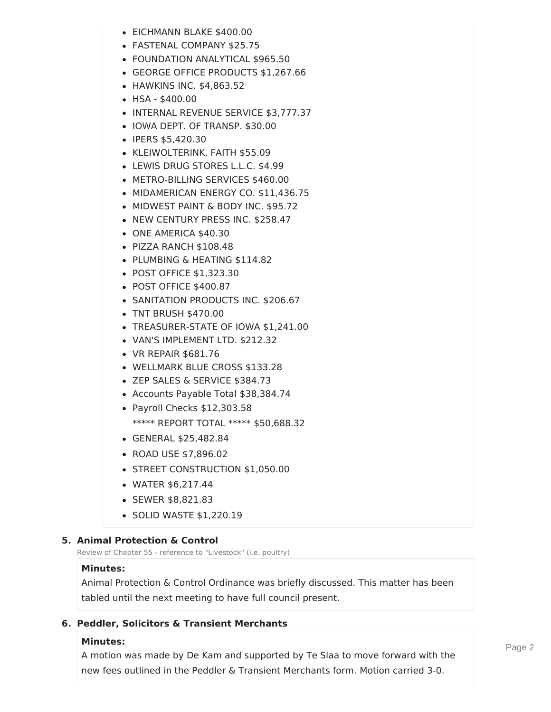- EICHMANN BLAKE \$400.00
- FASTENAL COMPANY \$25.75
- FOUNDATION ANALYTICAL \$965.50
- GEORGE OFFICE PRODUCTS \$1,267.66
- HAWKINS INC. \$4,863.52
- HSA \$400.00
- INTERNAL REVENUE SERVICE \$3,777.37
- IOWA DEPT. OF TRANSP. \$30.00
- IPERS \$5,420.30
- KLEIWOLTERINK, FAITH \$55.09
- LEWIS DRUG STORES L.L.C. \$4.99
- METRO-BILLING SERVICES \$460.00
- MIDAMERICAN ENERGY CO. \$11,436.75
- MIDWEST PAINT & BODY INC. \$95.72
- NEW CENTURY PRESS INC. \$258.47
- ONE AMERICA \$40.30
- PIZZA RANCH \$108.48
- PLUMBING & HEATING \$114.82
- POST OFFICE \$1,323,30
- POST OFFICE \$400.87
- SANITATION PRODUCTS INC. \$206.67
- TNT BRUSH \$470.00
- TREASURER-STATE OF IOWA \$1,241.00
- VAN'S IMPLEMENT LTD. \$212.32
- VR REPAIR \$681.76
- WELLMARK BLUE CROSS \$133.28
- ZEP SALES & SERVICE \$384.73
- Accounts Payable Total \$38,384.74
- Payroll Checks \$12,303.58 \*\*\*\*\* REPORT TOTAL \*\*\*\*\* \$50,688.32
- GENERAL \$25,482.84
- ROAD USE \$7,896.02
- STREET CONSTRUCTION \$1,050.00
- WATER \$6,217.44
- SEWER \$8,821.83
- SOLID WASTE \$1,220.19

## **5. Animal Protection & Control**

Review of Chapter 55 - reference to "Livestock" (i.e. poultry)

## **Minutes:**

Animal Protection & Control Ordinance was briefly discussed. This matter has been tabled until the next meeting to have full council present.

## **6. Peddler, Solicitors & Transient Merchants**

## **Minutes:**

A motion was made by De Kam and supported by Te Slaa to move forward with the new fees outlined in the Peddler & Transient Merchants form. Motion carried 3-0.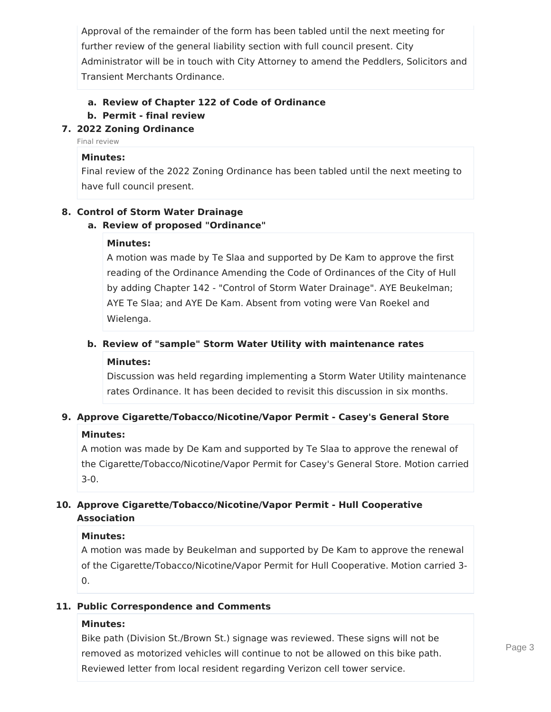Approval of the remainder of the form has been tabled until the next meeting for further review of the general liability section with full council present. City Administrator will be in touch with City Attorney to amend the Peddlers, Solicitors and Transient Merchants Ordinance.

## **a. Review of Chapter 122 of Code of Ordinance**

#### **b. Permit - final review**

## **7. 2022 Zoning Ordinance**

Final review

#### **Minutes:**

Final review of the 2022 Zoning Ordinance has been tabled until the next meeting to have full council present.

#### **8. Control of Storm Water Drainage**

#### **a. Review of proposed "Ordinance"**

#### **Minutes:**

A motion was made by Te Slaa and supported by De Kam to approve the first reading of the Ordinance Amending the Code of Ordinances of the City of Hull by adding Chapter 142 - "Control of Storm Water Drainage". AYE Beukelman; AYE Te Slaa; and AYE De Kam. Absent from voting were Van Roekel and Wielenga.

#### **b. Review of "sample" Storm Water Utility with maintenance rates**

#### **Minutes:**

Discussion was held regarding implementing a Storm Water Utility maintenance rates Ordinance. It has been decided to revisit this discussion in six months.

#### **9. Approve Cigarette/Tobacco/Nicotine/Vapor Permit - Casey's General Store**

#### **Minutes:**

A motion was made by De Kam and supported by Te Slaa to approve the renewal of the Cigarette/Tobacco/Nicotine/Vapor Permit for Casey's General Store. Motion carried 3-0.

## **10. Approve Cigarette/Tobacco/Nicotine/Vapor Permit - Hull Cooperative Association**

#### **Minutes:**

A motion was made by Beukelman and supported by De Kam to approve the renewal of the Cigarette/Tobacco/Nicotine/Vapor Permit for Hull Cooperative. Motion carried 3- 0.

#### **11. Public Correspondence and Comments**

#### **Minutes:**

Bike path (Division St./Brown St.) signage was reviewed. These signs will not be removed as motorized vehicles will continue to not be allowed on this bike path. Reviewed letter from local resident regarding Verizon cell tower service.